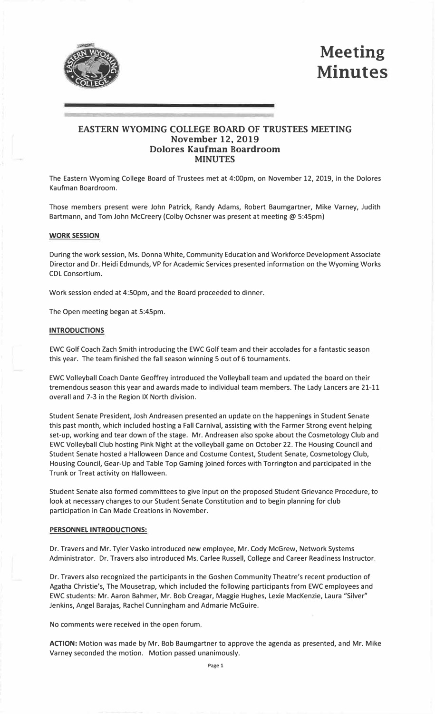

# **Meeting Minutes**

# **EASTERN WYOMING COLLEGE BOARD OF TRUSTEES MEETING November 12, 2019 Dolores Kaufman Boardroom MINUTES**

The Eastern Wyoming College Board of Trustees met at 4:00pm, on November 12, 2019, in the Dolores Kaufman Boardroom.

Those members present were John Patrick, Randy Adams, Robert Baumgartner, Mike Varney, Judith Bartmann, and Tom John Mccreery {Colby Ochsner was present at meeting @ 5:45pm)

#### **WORK SESSION**

During the work session, Ms. Donna White, Community Education and Workforce Development Associate Director and Dr. Heidi Edmunds, VP for Academic Services presented information on the Wyoming Works CDL Consortium.

Work session ended at 4:50pm, and the Board proceeded to dinner.

The Open meeting began at 5:45pm.

#### **INTRODUCTIONS**

EWC Golf Coach Zach Smith introducing the EWC Golf team and their accolades for a fantastic season this year. The team finished the fall season winning 5 out of 6 tournaments.

EWC Volleyball Coach Dante Geoffrey introduced the Volleyball team and updated the board on their tremendous season this year and awards made to individual team members. The Lady Lancers are 21-11 overall and 7-3 in the Region IX North division.

Student Senate President, Josh Andreasen presented an update on the happenings in Student Senate this past month, which included hosting a Fall Carnival, assisting with the Farmer Strong event helping set-up, working and tear down of the stage. Mr. Andreasen also spoke about the Cosmetology Club and EWC Volleyball Club hosting Pink Night at the volleyball game on October 22. The Housing Council and Student Senate hosted a Halloween Dance and Costume Contest, Student Senate, Cosmetology Club, Housing Council, Gear-Up and Table Top Gaming joined forces with Torrington and participated in the Trunk or Treat activity on Halloween.

Student Senate also formed committees to give input on the proposed Student Grievance Procedure, to look at necessary changes to our Student Senate Constitution and to begin planning for club participation in Can Made Creations in November.

#### **PERSONNEL INTRODUCTIONS:**

Dr. Travers and Mr. Tyler Vasko introduced new employee, Mr. Cody McGrew, Network Systems Administrator. Dr. Travers also introduced Ms. Carlee Russell, College and Career Readiness Instructor.

Dr. Travers also recognized the participants in the Goshen Community Theatre's recent production of Agatha Christie's, The Mousetrap, which included the following participants from EWC employees and EWC students: Mr. Aaron Bahmer, Mr. Bob Creagar, Maggie Hughes, Lexie MacKenzie, Laura "Silver'' Jenkins, Angel Barajas, Rachel Cunningham and Admarie McGuire.

No comments were received in the open forum.

**ACTION:** Motion was made by Mr. Bob Baumgartner to approve the agenda as presented, and Mr. Mike Varney seconded the motion. Motion passed unanimously.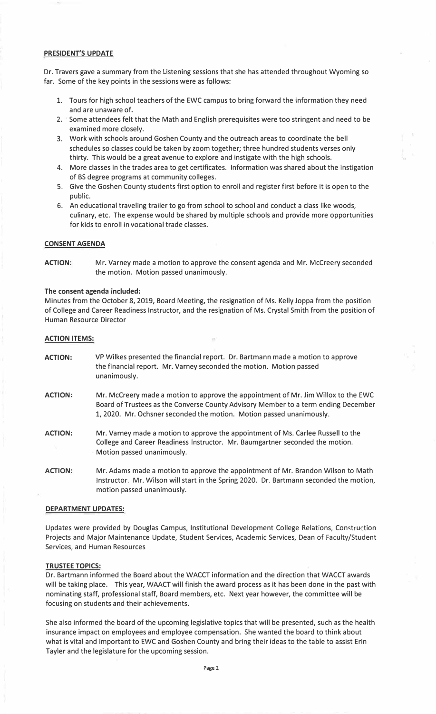# **PRESIDENT'S UPDATE**

Dr. Travers gave a summary from the Listening sessions that she has attended throughout Wyoming so far. Some of the key points in the sessions were as follows:

- 1. Tours for high school teachers of the EWC campus to bring forward the information they need and are unaware of.
- 2. Some attendees felt that the Math and English prerequisites were too stringent and need to be examined more closely.
- 3. Work with schools around Goshen County and the outreach areas to coordinate the bell schedules so classes could be taken by zoom together; three hundred students verses only thirty. This would be a great avenue to explore and instigate with the high schools.
- 4. More classes in the trades area to get certificates. Information was shared about the instigation of BS degree programs at community colleges.
- 5. Give the Goshen County students first option to enroll and register first before it is open to the public.
- 6. An educational traveling trailer to go from school to school and conduct a class like woods, culinary, etc. The expense would be shared by multiple schools and provide more opportunities for kids to enroll in vocational trade classes.

## **CONSENT AGENDA**

**ACTION:** Mr. Varney made a motion to approve the consent agenda and Mr. Mccreery seconded the motion. Motion passed unanimously.

#### The **consent agenda included:**

Minutes from the October 8, 2019, Board Meeting, the resignation of Ms. Kelly Joppa from the position of College and Career Readiness Instructor, and the resignation of Ms. Crystal Smith from the position of Human Resource Director

## **ACTION ITEMS:**

- **ACTION:**  VP Wilkes presented the financial report. Dr. Bartmann made a motion to approve the financial report. Mr. Varney seconded the motion. Motion passed unanimously.
- **ACTION:**  Mr. Mccreery made a motion to approve the appointment of Mr. Jim Willox to the EWC Board of Trustees as the Converse County Advisory Member to a term ending December 1, 2020. Mr. Ochsner seconded the motion. Motion passed unanimously.
- **ACTION:**  Mr. Varney made a motion to approve the appointment of Ms. Carlee Russell to the College and Career Readiness Instructor. Mr. Baumgartner seconded the motion. Motion passed unanimously.
- **ACTION:**  Mr. Adams made a motion to approve the appointment of Mr. Brandon Wilson to Math Instructor. Mr. Wilson will start in the Spring 2020. Dr. Bartmann seconded the motion, motion passed unanimously.

#### **DEPARTMENT UPDATES:**

Updates were provided by Douglas Campus, Institutional Development College Relations, Construction Projects and Major Maintenance Update, Student Services, Academic Services, Dean of Faculty/Student Services, and Human Resources

## **TRUSTEE TOPICS:**

Dr. Bartmann informed the Board about the WACCT information and the direction that WACCT awards will be taking place. This year, WAACT will finish the award process as it has been done in the past with nominating staff, professional staff, Board members, etc. Next year however, the committee will be focusing on students and their achievements.

She also informed the board of the upcoming legislative topics that will be presented, such as the health insurance impact on employees and employee compensation. She wanted the board to think about what is vital and important to EWC and Goshen County and bring their ideas to the table to assist Erin Tayler and the legislature for the upcoming session.